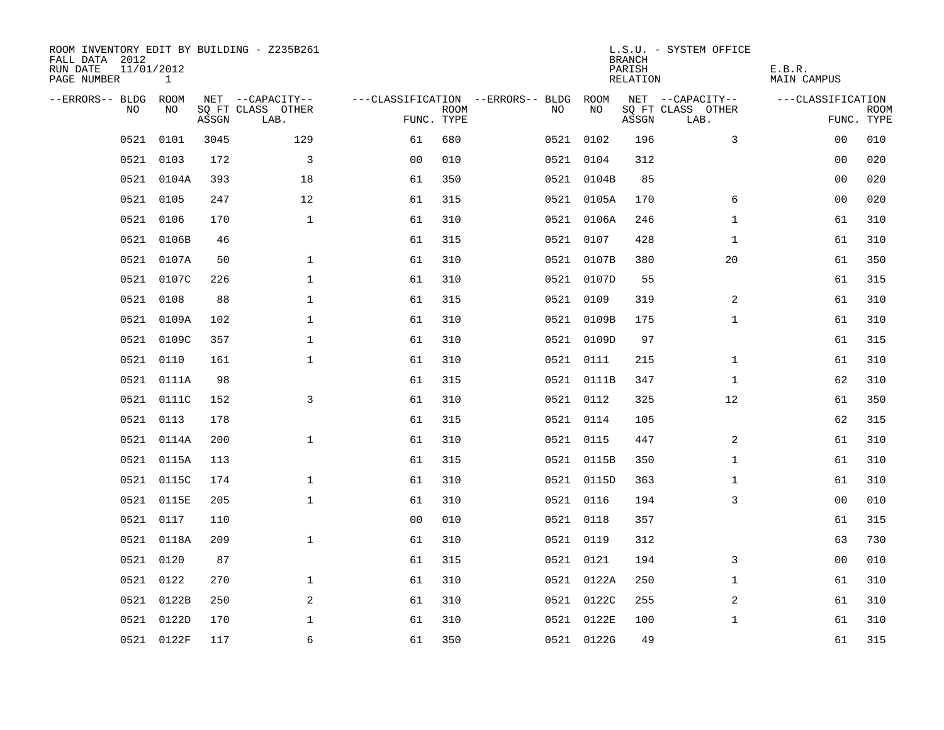| ROOM INVENTORY EDIT BY BUILDING - Z235B261<br>FALL DATA 2012<br>RUN DATE<br>11/01/2012<br>PAGE NUMBER<br>$\mathbf{1}$ |            |       |                           | L.S.U. - SYSTEM OFFICE<br><b>BRANCH</b><br>PARISH<br><b>RELATION</b> |             |                                   |            |       |                           | E.B.R.<br><b>MAIN CAMPUS</b> |             |
|-----------------------------------------------------------------------------------------------------------------------|------------|-------|---------------------------|----------------------------------------------------------------------|-------------|-----------------------------------|------------|-------|---------------------------|------------------------------|-------------|
| --ERRORS-- BLDG                                                                                                       | ROOM       |       | NET --CAPACITY--          |                                                                      |             | ---CLASSIFICATION --ERRORS-- BLDG | ROOM       |       | NET --CAPACITY--          | ---CLASSIFICATION            |             |
| NO.                                                                                                                   | NO         | ASSGN | SQ FT CLASS OTHER<br>LAB. | FUNC. TYPE                                                           | <b>ROOM</b> | NO                                | NO         | ASSGN | SQ FT CLASS OTHER<br>LAB. | FUNC. TYPE                   | <b>ROOM</b> |
| 0521                                                                                                                  | 0101       | 3045  | 129                       | 61                                                                   | 680         |                                   | 0521 0102  | 196   | 3                         | 00                           | 010         |
| 0521                                                                                                                  | 0103       | 172   | 3                         | 0 <sub>0</sub>                                                       | 010         |                                   | 0521 0104  | 312   |                           | 00                           | 020         |
| 0521                                                                                                                  | 0104A      | 393   | 18                        | 61                                                                   | 350         |                                   | 0521 0104B | 85    |                           | 00                           | 020         |
|                                                                                                                       | 0521 0105  | 247   | 12                        | 61                                                                   | 315         |                                   | 0521 0105A | 170   | 6                         | 00                           | 020         |
| 0521                                                                                                                  | 0106       | 170   | $\mathbf{1}$              | 61                                                                   | 310         |                                   | 0521 0106A | 246   | $\mathbf{1}$              | 61                           | 310         |
| 0521                                                                                                                  | 0106B      | 46    |                           | 61                                                                   | 315         |                                   | 0521 0107  | 428   | $\mathbf{1}$              | 61                           | 310         |
| 0521                                                                                                                  | 0107A      | 50    | $\mathbf{1}$              | 61                                                                   | 310         |                                   | 0521 0107B | 380   | 20                        | 61                           | 350         |
|                                                                                                                       | 0521 0107C | 226   | $\mathbf{1}$              | 61                                                                   | 310         |                                   | 0521 0107D | 55    |                           | 61                           | 315         |
| 0521                                                                                                                  | 0108       | 88    | $\mathbf{1}$              | 61                                                                   | 315         |                                   | 0521 0109  | 319   | 2                         | 61                           | 310         |
| 0521                                                                                                                  | 0109A      | 102   | $\mathbf{1}$              | 61                                                                   | 310         |                                   | 0521 0109B | 175   | $\mathbf{1}$              | 61                           | 310         |
| 0521                                                                                                                  | 0109C      | 357   | $\mathbf 1$               | 61                                                                   | 310         |                                   | 0521 0109D | 97    |                           | 61                           | 315         |
| 0521                                                                                                                  | 0110       | 161   | $\mathbf 1$               | 61                                                                   | 310         |                                   | 0521 0111  | 215   | $\mathbf{1}$              | 61                           | 310         |
| 0521                                                                                                                  | 0111A      | 98    |                           | 61                                                                   | 315         |                                   | 0521 0111B | 347   | $\mathbf{1}$              | 62                           | 310         |
| 0521                                                                                                                  | 0111C      | 152   | 3                         | 61                                                                   | 310         |                                   | 0521 0112  | 325   | 12                        | 61                           | 350         |
| 0521                                                                                                                  | 0113       | 178   |                           | 61                                                                   | 315         |                                   | 0521 0114  | 105   |                           | 62                           | 315         |
| 0521                                                                                                                  | 0114A      | 200   | $\mathbf{1}$              | 61                                                                   | 310         |                                   | 0521 0115  | 447   | 2                         | 61                           | 310         |
| 0521                                                                                                                  | 0115A      | 113   |                           | 61                                                                   | 315         |                                   | 0521 0115B | 350   | $\mathbf{1}$              | 61                           | 310         |
| 0521                                                                                                                  | 0115C      | 174   | $\mathbf 1$               | 61                                                                   | 310         |                                   | 0521 0115D | 363   | $\mathbf{1}$              | 61                           | 310         |
| 0521                                                                                                                  | 0115E      | 205   | $\mathbf 1$               | 61                                                                   | 310         |                                   | 0521 0116  | 194   | 3                         | 0 <sub>0</sub>               | 010         |
| 0521                                                                                                                  | 0117       | 110   |                           | 0 <sub>0</sub>                                                       | 010         |                                   | 0521 0118  | 357   |                           | 61                           | 315         |
| 0521                                                                                                                  | 0118A      | 209   | $\mathbf{1}$              | 61                                                                   | 310         |                                   | 0521 0119  | 312   |                           | 63                           | 730         |
| 0521                                                                                                                  | 0120       | 87    |                           | 61                                                                   | 315         |                                   | 0521 0121  | 194   | 3                         | 00                           | 010         |
|                                                                                                                       | 0521 0122  | 270   | $\mathbf 1$               | 61                                                                   | 310         |                                   | 0521 0122A | 250   | $\mathbf{1}$              | 61                           | 310         |
|                                                                                                                       | 0521 0122B | 250   | 2                         | 61                                                                   | 310         |                                   | 0521 0122C | 255   | 2                         | 61                           | 310         |
| 0521                                                                                                                  | 0122D      | 170   | $\mathbf 1$               | 61                                                                   | 310         |                                   | 0521 0122E | 100   | $\mathbf{1}$              | 61                           | 310         |
|                                                                                                                       | 0521 0122F | 117   | 6                         | 61                                                                   | 350         |                                   | 0521 0122G | 49    |                           | 61                           | 315         |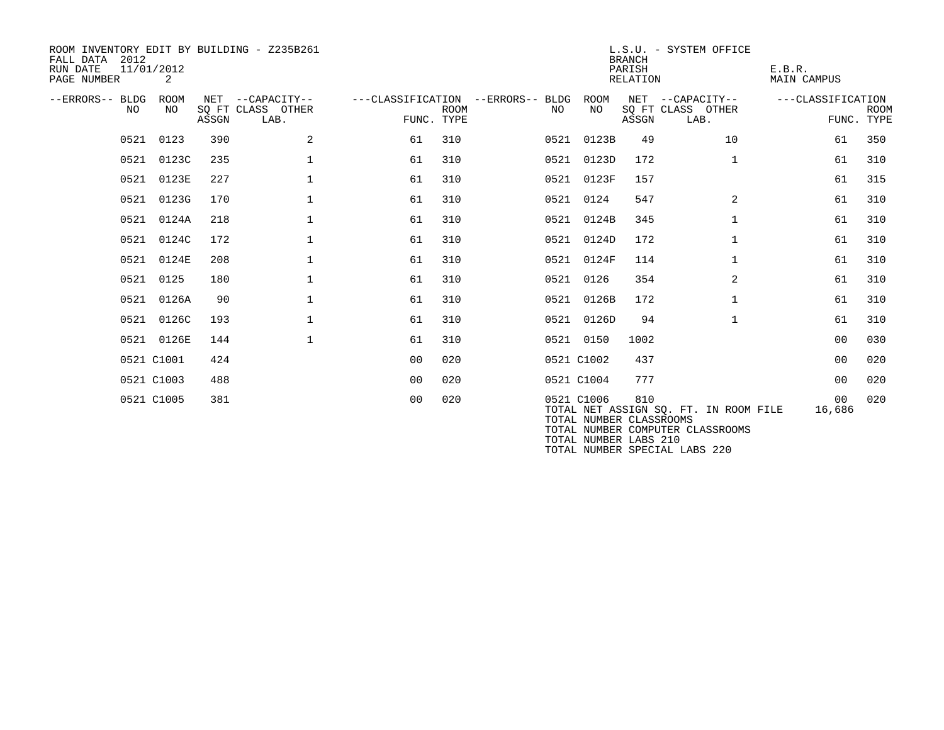| ROOM INVENTORY EDIT BY BUILDING - Z235B261<br>2012<br>FALL DATA<br>RUN DATE<br>11/01/2012<br>PAGE NUMBER | 2           |       |                                               |                |                                                  |     |                                                                | <b>BRANCH</b><br>PARISH<br>RELATION | L.S.U. - SYSTEM OFFICE                                                    | E.B.R.<br><b>MAIN CAMPUS</b> |                           |
|----------------------------------------------------------------------------------------------------------|-------------|-------|-----------------------------------------------|----------------|--------------------------------------------------|-----|----------------------------------------------------------------|-------------------------------------|---------------------------------------------------------------------------|------------------------------|---------------------------|
| --ERRORS-- BLDG<br>NO.                                                                                   | ROOM<br>NO. | ASSGN | NET --CAPACITY--<br>SQ FT CLASS OTHER<br>LAB. | FUNC. TYPE     | ---CLASSIFICATION --ERRORS-- BLDG<br><b>ROOM</b> | NO. | ROOM<br>NO                                                     | ASSGN                               | NET --CAPACITY--<br>SQ FT CLASS OTHER<br>LAB.                             | ---CLASSIFICATION            | <b>ROOM</b><br>FUNC. TYPE |
|                                                                                                          | 0521 0123   | 390   | 2                                             | 61             | 310                                              |     | 0521 0123B                                                     | 49                                  | 10                                                                        | 61                           | 350                       |
| 0521                                                                                                     | 0123C       | 235   | $\mathbf 1$                                   | 61             | 310                                              |     | 0521 0123D                                                     | 172                                 | $\mathbf{1}$                                                              | 61                           | 310                       |
| 0521                                                                                                     | 0123E       | 227   | $\mathbf{1}$                                  | 61             | 310                                              |     | 0521 0123F                                                     | 157                                 |                                                                           | 61                           | 315                       |
|                                                                                                          | 0521 0123G  | 170   | $\mathbf 1$                                   | 61             | 310                                              |     | 0521 0124                                                      | 547                                 | $\overline{2}$                                                            | 61                           | 310                       |
| 0521                                                                                                     | 0124A       | 218   | $\mathbf{1}$                                  | 61             | 310                                              |     | 0521 0124B                                                     | 345                                 | $\mathbf{1}$                                                              | 61                           | 310                       |
| 0521                                                                                                     | 0124C       | 172   | $\mathbf 1$                                   | 61             | 310                                              |     | 0521 0124D                                                     | 172                                 | $\mathbf{1}$                                                              | 61                           | 310                       |
| 0521                                                                                                     | 0124E       | 208   | $\mathbf 1$                                   | 61             | 310                                              |     | 0521 0124F                                                     | 114                                 | $\mathbf{1}$                                                              | 61                           | 310                       |
| 0521                                                                                                     | 0125        | 180   | $\mathbf 1$                                   | 61             | 310                                              |     | 0521 0126                                                      | 354                                 | $\overline{2}$                                                            | 61                           | 310                       |
| 0521                                                                                                     | 0126A       | 90    | $\mathbf 1$                                   | 61             | 310                                              |     | 0521 0126B                                                     | 172                                 | $\mathbf{1}$                                                              | 61                           | 310                       |
| 0521                                                                                                     | 0126C       | 193   | $\mathbf 1$                                   | 61             | 310                                              |     | 0521 0126D                                                     | 94                                  | $\mathbf{1}$                                                              | 61                           | 310                       |
|                                                                                                          | 0521 0126E  | 144   | $\mathbf 1$                                   | 61             | 310                                              |     | 0521 0150                                                      | 1002                                |                                                                           | 0 <sub>0</sub>               | 030                       |
|                                                                                                          | 0521 C1001  | 424   |                                               | 0 <sup>0</sup> | 020                                              |     | 0521 C1002                                                     | 437                                 |                                                                           | 0 <sub>0</sub>               | 020                       |
|                                                                                                          | 0521 C1003  | 488   |                                               | 0 <sup>0</sup> | 020                                              |     | 0521 C1004                                                     | 777                                 |                                                                           | 0 <sup>0</sup>               | 020                       |
|                                                                                                          | 0521 C1005  | 381   |                                               | 0 <sub>0</sub> | 020                                              |     | 0521 C1006<br>TOTAL NUMBER CLASSROOMS<br>TOTAL NUMBER LABS 210 | 810                                 | TOTAL NET ASSIGN SQ. FT. IN ROOM FILE<br>TOTAL NUMBER COMPUTER CLASSROOMS | 00 <sub>o</sub><br>16,686    | 020                       |

TOTAL NUMBER SPECIAL LABS 220